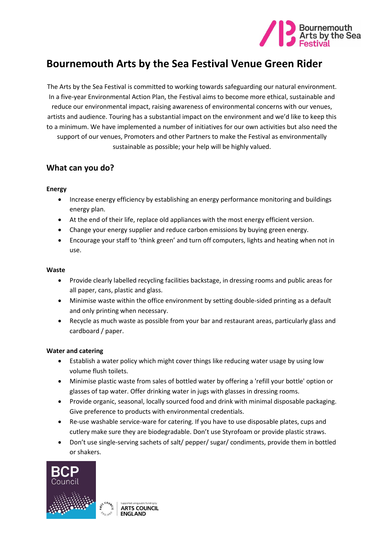

# **Bournemouth Arts by the Sea Festival Venue Green Rider**

The Arts by the Sea Festival is committed to working towards safeguarding our natural environment. In a five-year Environmental Action Plan, the Festival aims to become more ethical, sustainable and reduce our environmental impact, raising awareness of environmental concerns with our venues, artists and audience. Touring has a substantial impact on the environment and we'd like to keep this to a minimum. We have implemented a number of initiatives for our own activities but also need the support of our venues, Promoters and other Partners to make the Festival as environmentally sustainable as possible; your help will be highly valued.

### **What can you do?**

#### **Energy**

- Increase energy efficiency by establishing an energy performance monitoring and buildings energy plan.
- At the end of their life, replace old appliances with the most energy efficient version.
- Change your energy supplier and reduce carbon emissions by buying green energy.
- Encourage your staff to 'think green' and turn off computers, lights and heating when not in use.

#### **Waste**

- Provide clearly labelled recycling facilities backstage, in dressing rooms and public areas for all paper, cans, plastic and glass.
- Minimise waste within the office environment by setting double-sided printing as a default and only printing when necessary.
- Recycle as much waste as possible from your bar and restaurant areas, particularly glass and cardboard / paper.

#### **Water and catering**

- Establish a water policy which might cover things like reducing water usage by using low volume flush toilets.
- Minimise plastic waste from sales of bottled water by offering a 'refill your bottle' option or glasses of tap water. Offer drinking water in jugs with glasses in dressing rooms.
- Provide organic, seasonal, locally sourced food and drink with minimal disposable packaging. Give preference to products with environmental credentials.
- Re-use washable service-ware for catering. If you have to use disposable plates, cups and cutlery make sure they are biodegradable. Don't use Styrofoam or provide plastic straws.
- Don't use single-serving sachets of salt/ pepper/ sugar/ condiments, provide them in bottled or shakers.



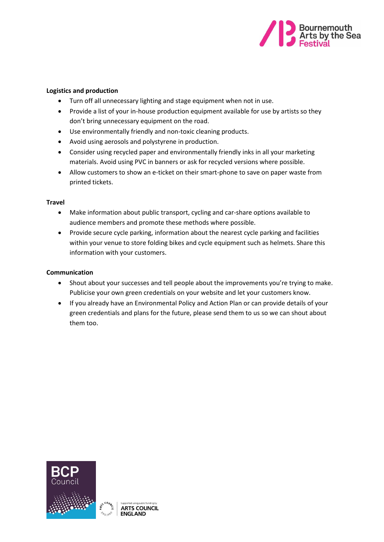

#### **Logistics and production**

- Turn off all unnecessary lighting and stage equipment when not in use.
- Provide a list of your in-house production equipment available for use by artists so they don't bring unnecessary equipment on the road.
- Use environmentally friendly and non-toxic cleaning products.
- Avoid using aerosols and polystyrene in production.
- Consider using recycled paper and environmentally friendly inks in all your marketing materials. Avoid using PVC in banners or ask for recycled versions where possible.
- Allow customers to show an e-ticket on their smart-phone to save on paper waste from printed tickets.

#### **Travel**

- Make information about public transport, cycling and car-share options available to audience members and promote these methods where possible.
- Provide secure cycle parking, information about the nearest cycle parking and facilities within your venue to store folding bikes and cycle equipment such as helmets. Share this information with your customers.

#### **Communication**

- Shout about your successes and tell people about the improvements you're trying to make. Publicise your own green credentials on your website and let your customers know.
- If you already have an Environmental Policy and Action Plan or can provide details of your green credentials and plans for the future, please send them to us so we can shout about them too.